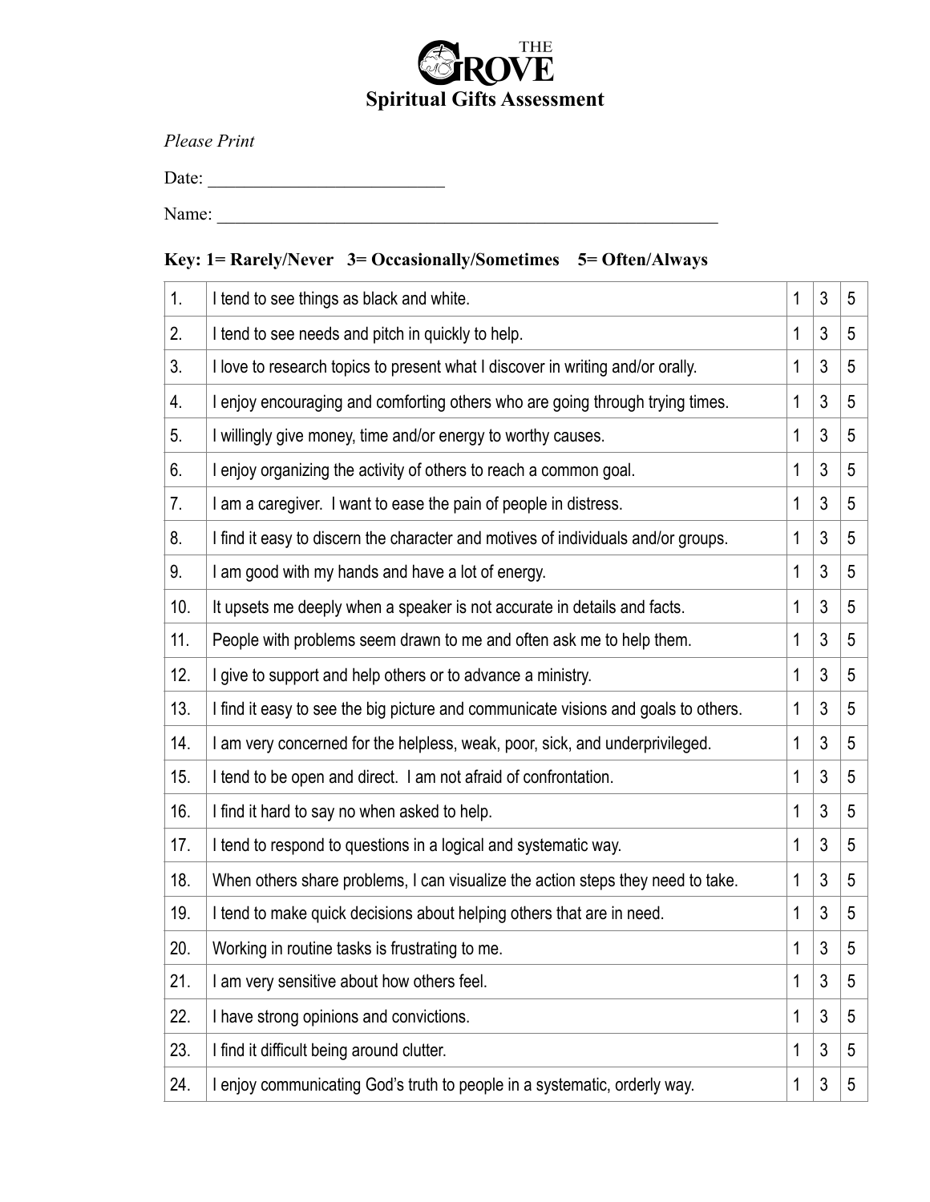

*Please Print* 

Date: \_\_\_\_\_\_\_\_\_\_\_\_\_\_\_\_\_\_\_\_\_\_\_\_\_\_

Name: \_\_\_\_\_\_\_\_\_\_\_\_\_\_\_\_\_\_\_\_\_\_\_\_\_\_\_\_\_\_\_\_\_\_\_\_\_\_\_\_\_\_\_\_\_\_\_\_\_\_\_\_\_\_\_

## **Key: 1= Rarely/Never 3= Occasionally/Sometimes 5= Often/Always**

| 1.  | I tend to see things as black and white.                                           | 1 | $\mathfrak{Z}$ | 5 |
|-----|------------------------------------------------------------------------------------|---|----------------|---|
| 2.  | I tend to see needs and pitch in quickly to help.                                  | 1 | 3              | 5 |
| 3.  | I love to research topics to present what I discover in writing and/or orally.     | 1 | 3              | 5 |
| 4.  | I enjoy encouraging and comforting others who are going through trying times.      | 1 | 3              | 5 |
| 5.  | I willingly give money, time and/or energy to worthy causes.                       | 1 | 3              | 5 |
| 6.  | I enjoy organizing the activity of others to reach a common goal.                  | 1 | 3              | 5 |
| 7.  | I am a caregiver. I want to ease the pain of people in distress.                   | 1 | 3              | 5 |
| 8.  | I find it easy to discern the character and motives of individuals and/or groups.  | 1 | 3              | 5 |
| 9.  | I am good with my hands and have a lot of energy.                                  | 1 | 3              | 5 |
| 10. | It upsets me deeply when a speaker is not accurate in details and facts.           | 1 | 3              | 5 |
| 11. | People with problems seem drawn to me and often ask me to help them.               | 1 | 3              | 5 |
| 12. | I give to support and help others or to advance a ministry.                        | 1 | 3              | 5 |
| 13. | I find it easy to see the big picture and communicate visions and goals to others. | 1 | 3              | 5 |
| 14. | I am very concerned for the helpless, weak, poor, sick, and underprivileged.       | 1 | 3              | 5 |
| 15. | I tend to be open and direct. I am not afraid of confrontation.                    | 1 | 3              | 5 |
| 16. | I find it hard to say no when asked to help.                                       | 1 | 3              | 5 |
| 17. | I tend to respond to questions in a logical and systematic way.                    | 1 | 3              | 5 |
| 18. | When others share problems, I can visualize the action steps they need to take.    | 1 | 3              | 5 |
| 19. | I tend to make quick decisions about helping others that are in need.              | 1 | 3              | 5 |
| 20. | Working in routine tasks is frustrating to me.                                     | 1 | $\sqrt{3}$     | 5 |
| 21. | I am very sensitive about how others feel.                                         | 1 | $\mathfrak{Z}$ | 5 |
| 22. | I have strong opinions and convictions.                                            | 1 | 3              | 5 |
| 23. | I find it difficult being around clutter.                                          | 1 | 3              | 5 |
| 24. | I enjoy communicating God's truth to people in a systematic, orderly way.          | 1 | 3              | 5 |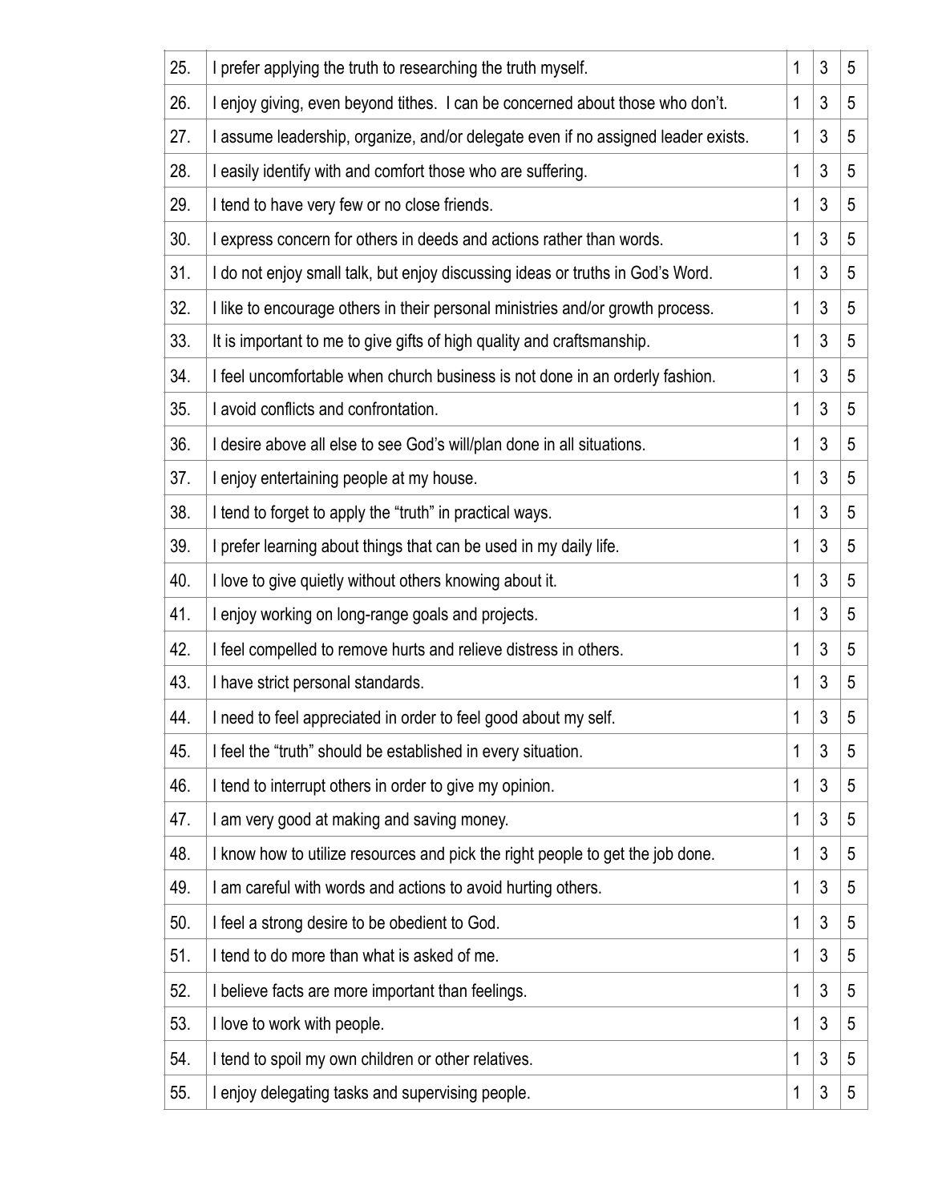| 25. | I prefer applying the truth to researching the truth myself.                      | 1 | 3              | 5 |
|-----|-----------------------------------------------------------------------------------|---|----------------|---|
| 26. | I enjoy giving, even beyond tithes. I can be concerned about those who don't.     | 1 | 3              | 5 |
| 27. | I assume leadership, organize, and/or delegate even if no assigned leader exists. | 1 | 3              | 5 |
| 28. | I easily identify with and comfort those who are suffering.                       | 1 | 3              | 5 |
| 29. | I tend to have very few or no close friends.                                      | 1 | 3              | 5 |
| 30. | I express concern for others in deeds and actions rather than words.              | 1 | 3              | 5 |
| 31. | I do not enjoy small talk, but enjoy discussing ideas or truths in God's Word.    | 1 | 3              | 5 |
| 32. | I like to encourage others in their personal ministries and/or growth process.    | 1 | 3              | 5 |
| 33. | It is important to me to give gifts of high quality and craftsmanship.            | 1 | 3              | 5 |
| 34. | I feel uncomfortable when church business is not done in an orderly fashion.      | 1 | 3              | 5 |
| 35. | I avoid conflicts and confrontation.                                              | 1 | 3              | 5 |
| 36. | I desire above all else to see God's will/plan done in all situations.            | 1 | 3              | 5 |
| 37. | I enjoy entertaining people at my house.                                          | 1 | 3              | 5 |
| 38. | I tend to forget to apply the "truth" in practical ways.                          | 1 | 3              | 5 |
| 39. | I prefer learning about things that can be used in my daily life.                 | 1 | 3              | 5 |
| 40. | I love to give quietly without others knowing about it.                           | 1 | 3              | 5 |
| 41. | I enjoy working on long-range goals and projects.                                 | 1 | $\mathfrak{Z}$ | 5 |
| 42. | I feel compelled to remove hurts and relieve distress in others.                  | 1 | $\mathfrak{Z}$ | 5 |
| 43. | I have strict personal standards.                                                 | 1 | 3              | 5 |
| 44. | I need to feel appreciated in order to feel good about my self.                   | 1 | 3              | 5 |
| 45. | I feel the "truth" should be established in every situation.                      | 1 | 3              | 5 |
| 46. | I tend to interrupt others in order to give my opinion.                           | 1 | 3              | 5 |
| 47. | I am very good at making and saving money.                                        | 1 | 3              | 5 |
| 48. | I know how to utilize resources and pick the right people to get the job done.    | 1 | 3              | 5 |
| 49. | I am careful with words and actions to avoid hurting others.                      | 1 | 3              | 5 |
| 50. | I feel a strong desire to be obedient to God.                                     | 1 | 3              | 5 |
| 51. | I tend to do more than what is asked of me.                                       | 1 | 3              | 5 |
| 52. | I believe facts are more important than feelings.                                 | 1 | 3              | 5 |
| 53. | I love to work with people.                                                       | 1 | 3              | 5 |
| 54. | I tend to spoil my own children or other relatives.                               | 1 | 3              | 5 |
| 55. | I enjoy delegating tasks and supervising people.                                  | 1 | 3              | 5 |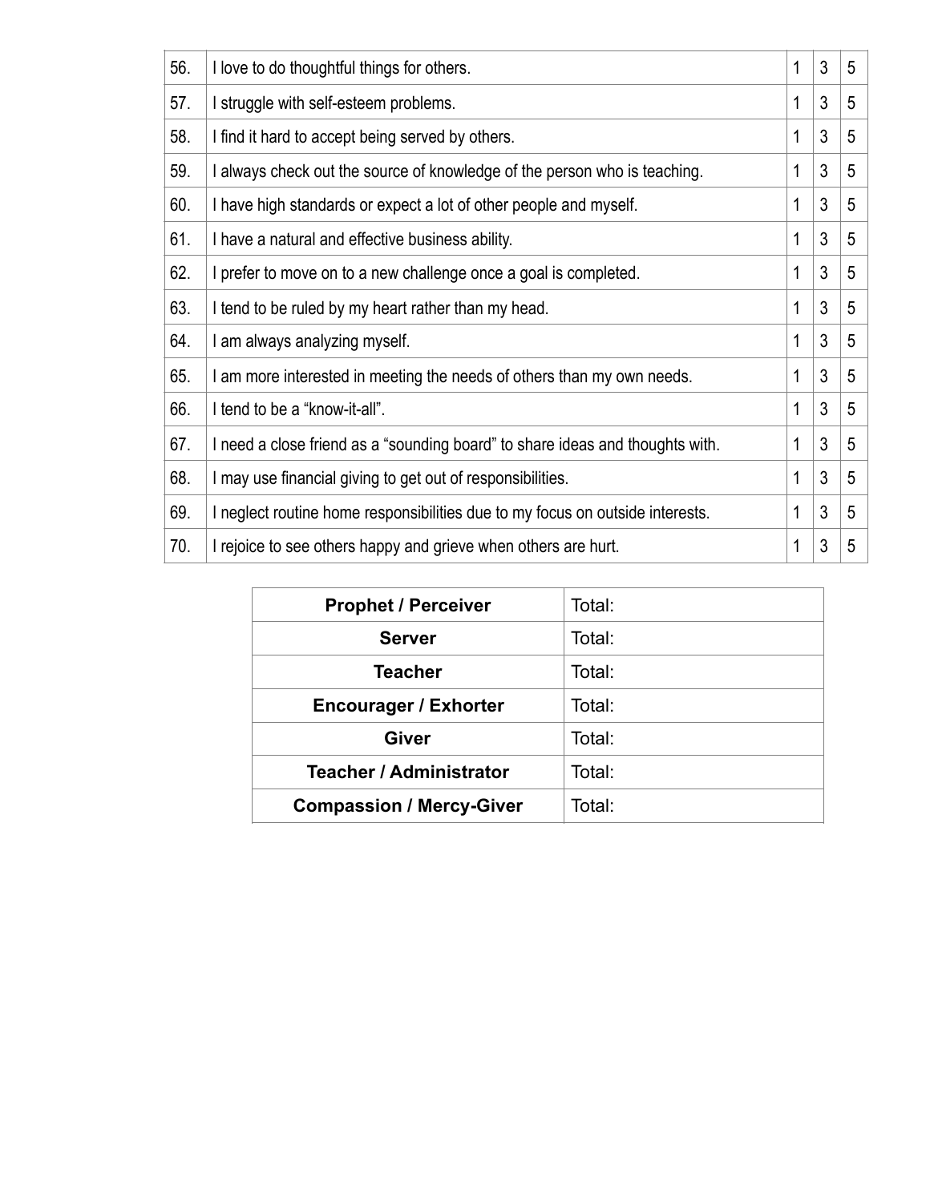| 56. | I love to do thoughtful things for others.                                    | 1            | 3 | 5 |
|-----|-------------------------------------------------------------------------------|--------------|---|---|
| 57. | I struggle with self-esteem problems.                                         | 1            | 3 | 5 |
| 58. | I find it hard to accept being served by others.                              | 1            | 3 | 5 |
| 59. | I always check out the source of knowledge of the person who is teaching.     | 1            | 3 | 5 |
| 60. | I have high standards or expect a lot of other people and myself.             | 1            | 3 | 5 |
| 61. | I have a natural and effective business ability.                              | $\mathbf{1}$ | 3 | 5 |
| 62. | I prefer to move on to a new challenge once a goal is completed.              | 1            | 3 | 5 |
| 63. | I tend to be ruled by my heart rather than my head.                           | $\mathbf{1}$ | 3 | 5 |
| 64. | I am always analyzing myself.                                                 | 1            | 3 | 5 |
| 65. | I am more interested in meeting the needs of others than my own needs.        | 1            | 3 | 5 |
| 66. | I tend to be a "know-it-all".                                                 | 1            | 3 | 5 |
| 67. | I need a close friend as a "sounding board" to share ideas and thoughts with. | 1            | 3 | 5 |
| 68. | I may use financial giving to get out of responsibilities.                    | 1            | 3 | 5 |
| 69. | I neglect routine home responsibilities due to my focus on outside interests. | 1            | 3 | 5 |
| 70. | I rejoice to see others happy and grieve when others are hurt.                | 1            | 3 | 5 |

| <b>Prophet / Perceiver</b>      | Total: |
|---------------------------------|--------|
| <b>Server</b>                   | Total: |
| Teacher                         | Total: |
| <b>Encourager / Exhorter</b>    | Total: |
| <b>Giver</b>                    | Total: |
| <b>Teacher / Administrator</b>  | Total: |
| <b>Compassion / Mercy-Giver</b> | Total: |
|                                 |        |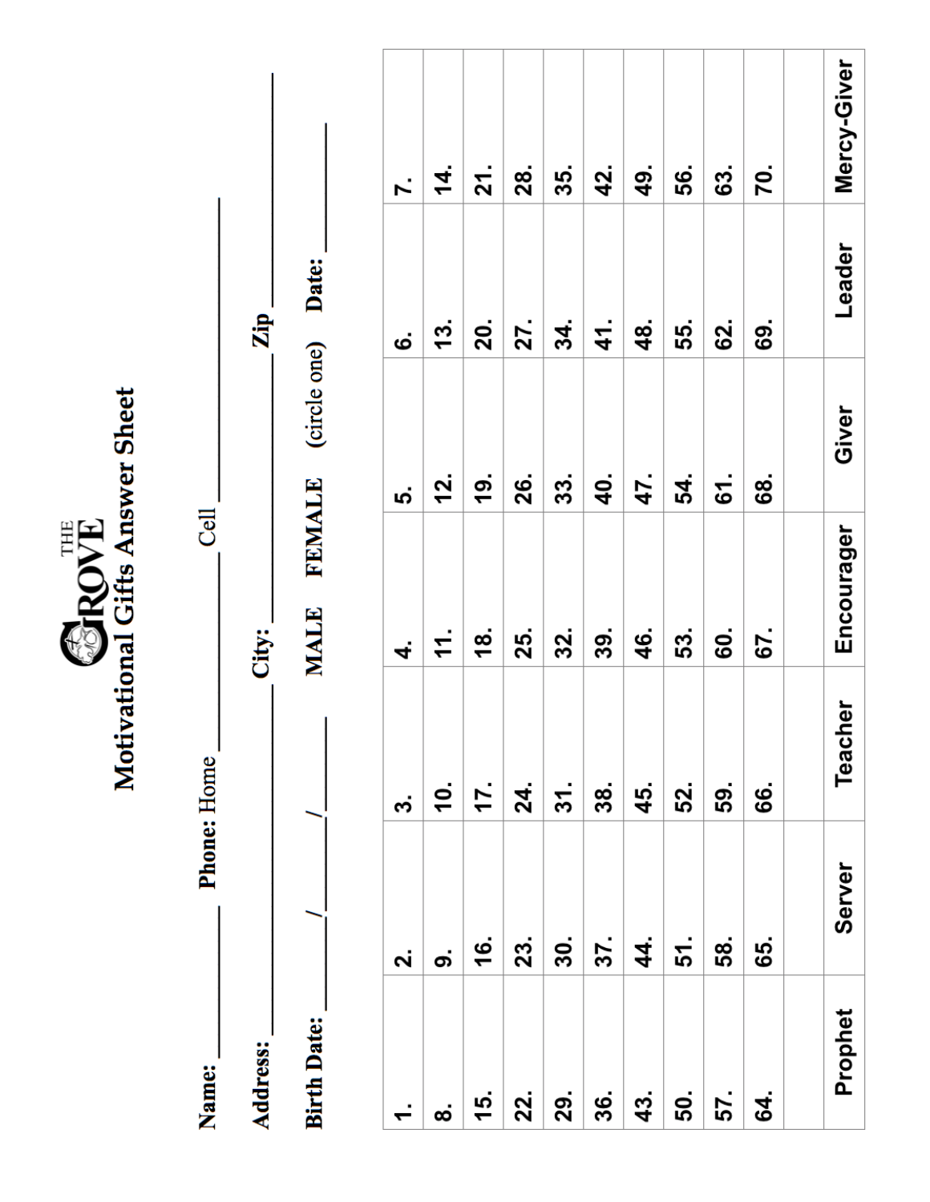|                    |                    |                    | Motivational Gifts Answer Sheet<br>SROVE |               |               |             |
|--------------------|--------------------|--------------------|------------------------------------------|---------------|---------------|-------------|
| Name:              |                    | <b>Phone: Home</b> | Cell                                     |               |               |             |
| Address:           |                    |                    | City:                                    |               | Zip.          |             |
| <b>Birth Date:</b> |                    | ı                  | <b>FEMALE</b><br>MALE                    | (circle one)  | Date:         |             |
| $\div$             | $\dot{\mathbf{r}}$ | က                  | 4.                                       | ທ່            | ဖ             | Ϋ́.         |
| ထ                  | တ                  | <u>10.</u>         | 11.                                      | <u>12.</u>    | 13.           | 4.          |
| 15.                | 16.                | 17.                | <u>18</u> .                              | $\frac{1}{9}$ | 20.           | 21.         |
| 22.                | 23.                | 24.                | 25.                                      | 26.           | 27.           | 28.         |
| 29.                | 30.                | 31.                | 32.                                      | 33.           | 34.           | 35.         |
| 36.                | 37.                | 38.                | 39.                                      | <b>40.</b>    | $\frac{4}{1}$ | 42.         |
| 43.                | 44.                | 45.                | 46.                                      | 47.           | 48.           | 49.         |
| 50.                | 51.                | 52.                | 53.                                      | 54.           | 55.           | 56.         |
| 57.                | 58.                | 59.                | 60.                                      | 61.           | 62.           | 63.         |
| \$                 | 65.                | 66.                | 67.                                      | 89            | 69.           | 70.         |
|                    |                    |                    |                                          |               |               |             |
| Prophet            | <b>Server</b>      | <b>Teacher</b>     | Encourager                               | Giver         | Leader        | Mercy-Giver |